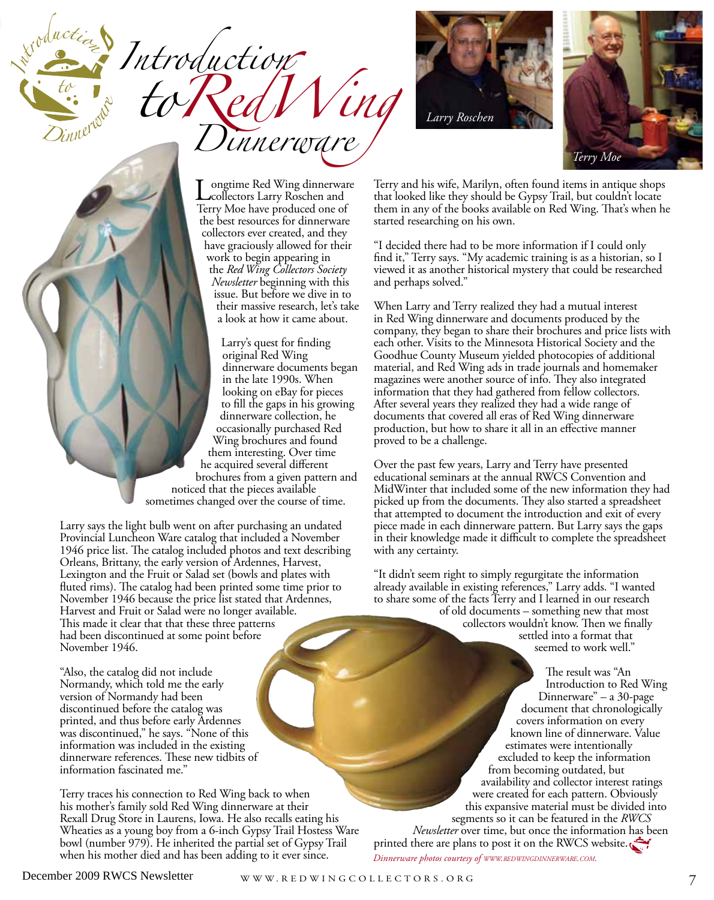*Introduction toRedWing Dinnerware*





ongtime Red Wing dinnerware collectors Larry Roschen and Terry Moe have produced one of the best resources for dinnerware collectors ever created, and they have graciously allowed for their work to begin appearing in the *Red Wing Collectors Society Newsletter* beginning with this issue. But before we dive in to their massive research, let's take a look at how it came about.

Larry's quest for finding original Red Wing dinnerware documents began in the late 1990s. When looking on eBay for pieces to fill the gaps in his growing dinnerware collection, he occasionally purchased Red Wing brochures and found them interesting. Over time he acquired several different brochures from a given pattern and noticed that the pieces available sometimes changed over the course of time.

Larry says the light bulb went on after purchasing an undated Provincial Luncheon Ware catalog that included a November 1946 price list. The catalog included photos and text describing Orleans, Brittany, the early version of Ardennes, Harvest, Lexington and the Fruit or Salad set (bowls and plates with fluted rims). The catalog had been printed some time prior to November 1946 because the price list stated that Ardennes, Harvest and Fruit or Salad were no longer available. This made it clear that that these three patterns had been discontinued at some point before November 1946.

"Also, the catalog did not include Normandy, which told me the early version of Normandy had been discontinued before the catalog was printed, and thus before early Ardennes was discontinued," he says. "None of this information was included in the existing dinnerware references. These new tidbits of information fascinated me."

Terry traces his connection to Red Wing back to when his mother's family sold Red Wing dinnerware at their Rexall Drug Store in Laurens, Iowa. He also recalls eating his Wheaties as a young boy from a 6-inch Gypsy Trail Hostess Ware bowl (number 979). He inherited the partial set of Gypsy Trail when his mother died and has been adding to it ever since.

Terry and his wife, Marilyn, often found items in antique shops that looked like they should be Gypsy Trail, but couldn't locate them in any of the books available on Red Wing. That's when he started researching on his own.

"I decided there had to be more information if I could only find it," Terry says. "My academic training is as a historian, so I viewed it as another historical mystery that could be researched and perhaps solved."

When Larry and Terry realized they had a mutual interest in Red Wing dinnerware and documents produced by the company, they began to share their brochures and price lists with each other. Visits to the Minnesota Historical Society and the Goodhue County Museum yielded photocopies of additional material, and Red Wing ads in trade journals and homemaker magazines were another source of info. They also integrated information that they had gathered from fellow collectors. After several years they realized they had a wide range of documents that covered all eras of Red Wing dinnerware production, but how to share it all in an effective manner proved to be a challenge.

Over the past few years, Larry and Terry have presented educational seminars at the annual RWCS Convention and MidWinter that included some of the new information they had picked up from the documents. They also started a spreadsheet that attempted to document the introduction and exit of every piece made in each dinnerware pattern. But Larry says the gaps in their knowledge made it difficult to complete the spreadsheet with any certainty.

"It didn't seem right to simply regurgitate the information already available in existing references," Larry adds. "I wanted to share some of the facts Terry and I learned in our research of old documents – something new that most collectors wouldn't know. Then we finally settled into a format that seemed to work well."

> The result was "An Introduction to Red Wing Dinnerware" – a 30-page document that chronologically covers information on every known line of dinnerware. Value estimates were intentionally excluded to keep the information from becoming outdated, but availability and collector interest ratings were created for each pattern. Obviously this expansive material must be divided into segments so it can be featured in the *RWCS Newsletter* over time, but once the information has been

*Dinnerware photos courtesy of www.redwingdinnerware.com.* printed there are plans to post it on the RWCS website.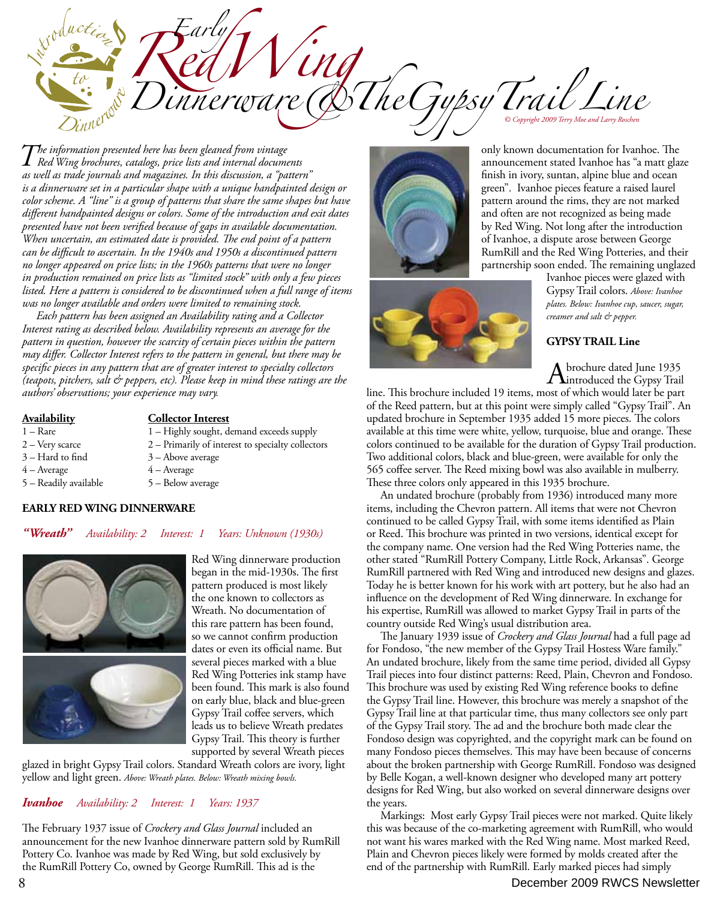*Dinnerware* **DING** *Cyppsy Trail Line* **Early 1 Red Wing to both the bottom.** Later pieces were made to be a second to be a second to be a second to be a second to be a second to be a second to be a second to be a second to be a second second wind to be a secon

*The information presented here has been gleaned from vintage Red Wing brochures, catalogs, price lists and internal documents as well as trade journals and magazines. In this discussion, a "pattern" is a dinnerware set in a particular shape with a unique handpainted design or color scheme. A "line" is a group of patterns that share the same shapes but have different handpainted designs or colors. Some of the introduction and exit dates presented have not been verified because of gaps in available documentation. When uncertain, an estimated date is provided. The end point of a pattern can be difficult to ascertain. In the 1940s and 1950s a discontinued pattern no longer appeared on price lists; in the 1960s patterns that were no longer in production remained on price lists as "limited stock" with only a few pieces listed. Here a pattern is considered to be discontinued when a full range of items was no longer available and orders were limited to remaining stock.*

 *Each pattern has been assigned an Availability rating and a Collector Interest rating as described below. Availability represents an average for the pattern in question, however the scarcity of certain pieces within the pattern may differ. Collector Interest refers to the pattern in general, but there may be specific pieces in any pattern that are of greater interest to specialty collectors (teapots, pitchers, salt & peppers, etc). Please keep in mind these ratings are the authors' observations; your experience may vary.*

## **Availability Collector Interest**

- 1 Rare 1 Highly sought, demand exceeds supply
- 2 Very scarce 2 Primarily of interest to specialty collectors
- $3 -$  Hard to find  $3 -$  Above average
- 
- 
- $4 -$ Average  $4 -$ Average
- 5 Readily available 5 Below average

## **EARLY RED WING DINNERWARE**

## *"Wreath" Availability: 2 Interest: 1 Years: Unknown (1930s)*



Red Wing dinnerware production began in the mid-1930s. The first pattern produced is most likely the one known to collectors as Wreath. No documentation of this rare pattern has been found, so we cannot confirm production dates or even its official name. But several pieces marked with a blue Red Wing Potteries ink stamp have been found. This mark is also found on early blue, black and blue-green Gypsy Trail coffee servers, which leads us to believe Wreath predates Gypsy Trail. This theory is further supported by several Wreath pieces

glazed in bright Gypsy Trail colors. Standard Wreath colors are ivory, light yellow and light green. *Above: Wreath plates. Below: Wreath mixing bowls.*

## *Ivanhoe Availability: 2 Interest: 1 Years: 1937*

The February 1937 issue of *Crockery and Glass Journal* included an announcement for the new Ivanhoe dinnerware pattern sold by RumRill Pottery Co. Ivanhoe was made by Red Wing, but sold exclusively by the RumRill Pottery Co, owned by George RumRill. This ad is the





only known documentation for Ivanhoe. The announcement stated Ivanhoe has "a matt glaze finish in ivory, suntan, alpine blue and ocean green". Ivanhoe pieces feature a raised laurel pattern around the rims, they are not marked and often are not recognized as being made by Red Wing. Not long after the introduction of Ivanhoe, a dispute arose between George RumRill and the Red Wing Potteries, and their partnership soon ended. The remaining unglazed

Ivanhoe pieces were glazed with Gypsy Trail colors. *Above: Ivanhoe plates. Below: Ivanhoe cup, saucer, sugar, creamer and salt & pepper.*

## **GYPSY TRAIL Line**

A brochure dated June 1935<br>introduced the Gypsy Trail

line. This brochure included 19 items, most of which would later be part of the Reed pattern, but at this point were simply called "Gypsy Trail". An updated brochure in September 1935 added 15 more pieces. The colors available at this time were white, yellow, turquoise, blue and orange. These colors continued to be available for the duration of Gypsy Trail production. Two additional colors, black and blue-green, were available for only the 565 coffee server. The Reed mixing bowl was also available in mulberry. These three colors only appeared in this 1935 brochure.

 An undated brochure (probably from 1936) introduced many more items, including the Chevron pattern. All items that were not Chevron continued to be called Gypsy Trail, with some items identified as Plain or Reed. This brochure was printed in two versions, identical except for the company name. One version had the Red Wing Potteries name, the other stated "RumRill Pottery Company, Little Rock, Arkansas". George RumRill partnered with Red Wing and introduced new designs and glazes. Today he is better known for his work with art pottery, but he also had an influence on the development of Red Wing dinnerware. In exchange for his expertise, RumRill was allowed to market Gypsy Trail in parts of the country outside Red Wing's usual distribution area.

 The January 1939 issue of *Crockery and Glass Journal* had a full page ad for Fondoso, "the new member of the Gypsy Trail Hostess Ware family." An undated brochure, likely from the same time period, divided all Gypsy Trail pieces into four distinct patterns: Reed, Plain, Chevron and Fondoso. This brochure was used by existing Red Wing reference books to define the Gypsy Trail line. However, this brochure was merely a snapshot of the Gypsy Trail line at that particular time, thus many collectors see only part of the Gypsy Trail story. The ad and the brochure both made clear the Fondoso design was copyrighted, and the copyright mark can be found on many Fondoso pieces themselves. This may have been because of concerns about the broken partnership with George RumRill. Fondoso was designed by Belle Kogan, a well-known designer who developed many art pottery designs for Red Wing, but also worked on several dinnerware designs over the years.

 Markings: Most early Gypsy Trail pieces were not marked. Quite likely this was because of the co-marketing agreement with RumRill, who would not want his wares marked with the Red Wing name. Most marked Reed, Plain and Chevron pieces likely were formed by molds created after the end of the partnership with RumRill. Early marked pieces had simply

# **8** December 2009 RWCS Newsletter